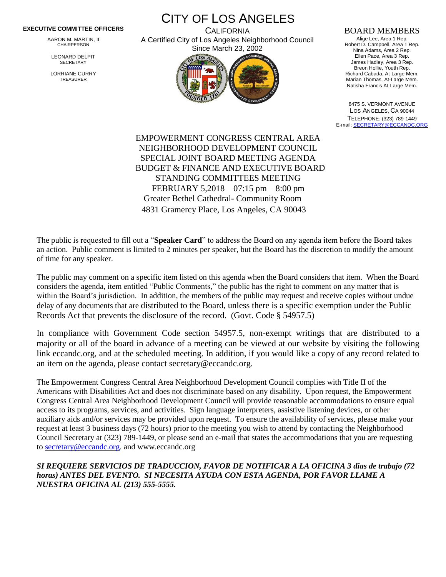## **EXECUTIVE COMMITTEE OFFICERS**

AARON M. MARTIN, II CHAIRPERSON

LEONARD DELPIT **SECRETARY** 

LORRIANE CURRY TREASURER

CITY OF LOS ANGELES **CALIFORNIA** A Certified City of Los Angeles Neighborhood Council



## BOARD MEMBERS

Alige Lee, Area 1 Rep. Robert D. Campbell, Area 1 Rep. Nina Adams, Area 2 Rep. Ellen Pace, Area 3 Rep. James Hadley, Area 3 Rep. Breon Hollie, Youth Rep. Richard Cabada, At-Large Mem. Marian Thomas, At-Large Mem. Natisha Francis At-Large Mem.

8475 S. VERMONT AVENUE LOS ANGELES, CA 90044 TELEPHONE: (323) 789-1449 E-mail[: SECRETARY@ECCANDC.ORG](mailto:SECRETARY@ECCANDC.ORG)

EMPOWERMENT CONGRESS CENTRAL AREA NEIGHBORHOOD DEVELOPMENT COUNCIL SPECIAL JOINT BOARD MEETING AGENDA BUDGET & FINANCE AND EXECUTIVE BOARD STANDING COMMITTEES MEETING FEBRUARY 5,2018 – 07:15 pm – 8:00 pm Greater Bethel Cathedral- Community Room 4831 Gramercy Place, Los Angeles, CA 90043

The public is requested to fill out a "**Speaker Card**" to address the Board on any agenda item before the Board takes an action. Public comment is limited to 2 minutes per speaker, but the Board has the discretion to modify the amount of time for any speaker.

The public may comment on a specific item listed on this agenda when the Board considers that item. When the Board considers the agenda, item entitled "Public Comments," the public has the right to comment on any matter that is within the Board's jurisdiction. In addition, the members of the public may request and receive copies without undue delay of any documents that are distributed to the Board, unless there is a specific exemption under the Public Records Act that prevents the disclosure of the record. (Govt. Code § 54957.5)

In compliance with Government Code section 54957.5, non-exempt writings that are distributed to a majority or all of the board in advance of a meeting can be viewed at our website by visiting the following link eccandc.org, and at the scheduled meeting. In addition, if you would like a copy of any record related to an item on the agenda, please contact secretary@eccandc.org.

The Empowerment Congress Central Area Neighborhood Development Council complies with Title II of the Americans with Disabilities Act and does not discriminate based on any disability. Upon request, the Empowerment Congress Central Area Neighborhood Development Council will provide reasonable accommodations to ensure equal access to its programs, services, and activities. Sign language interpreters, assistive listening devices, or other auxiliary aids and/or services may be provided upon request. To ensure the availability of services, please make your request at least 3 business days (72 hours) prior to the meeting you wish to attend by contacting the Neighborhood Council Secretary at (323) 789-1449, or please send an e-mail that states the accommodations that you are requesting t[o secretary@eccandc.org.](mailto:secretary@eccandc.org) and www.eccandc.org

*SI REQUIERE SERVICIOS DE TRADUCCION, FAVOR DE NOTIFICAR A LA OFICINA 3 dias de trabajo (72 horas) ANTES DEL EVENTO. SI NECESITA AYUDA CON ESTA AGENDA, POR FAVOR LLAME A NUESTRA OFICINA AL (213) 555-5555.*